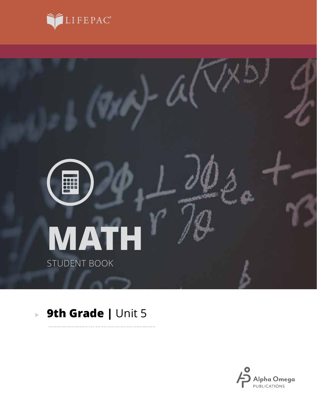



. . . . . . . . .

# **9th Grade |** Unit 5

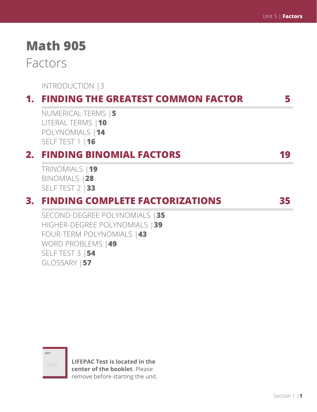# **Math 905**

## Factors

INTRODUCTION |3

## **1. FINDING THE GREATEST COMMON FACTOR 5**

NUMERICAL TERMS |**5** LITERAL TERMS |**10** POLYNOMIALS |**14** SELF TEST 1 |**16**

## **2. FINDING BINOMIAL FACTORS 19**

TRINOMIALS |**19** BINOMIALS |**28** SELF TEST 2 |**33**

### **3. FINDING COMPLETE FACTORIZATIONS 35**

SECOND-DEGREE POLYNOMIALS |**35** HIGHER-DEGREE POLYNOMIALS |**39** FOUR-TERM POLYNOMIALS |**43** WORD PROBLEMS |**49** SELF TEST 3 |**54** GLOSSARY |**57**



**LIFEPAC Test is located in the center of the booklet**. Please remove before starting the unit.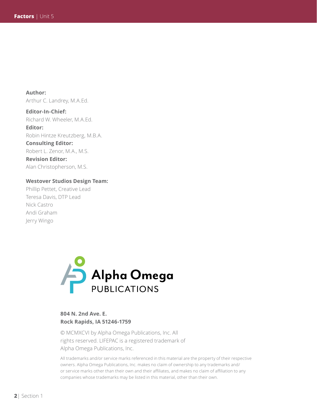**Author:**  Arthur C. Landrey, M.A.Ed.

**Editor-In-Chief:** Richard W. Wheeler, M.A.Ed. **Editor:** Robin Hintze Kreutzberg, M.B.A. **Consulting Editor:** Robert L. Zenor, M.A., M.S. **Revision Editor:** Alan Christopherson, M.S.

#### **Westover Studios Design Team:**

Phillip Pettet, Creative Lead Teresa Davis, DTP Lead Nick Castro Andi Graham Jerry Wingo



#### **804 N. 2nd Ave. E. Rock Rapids, IA 51246-1759**

© MCMXCVI by Alpha Omega Publications, Inc. All rights reserved. LIFEPAC is a registered trademark of Alpha Omega Publications, Inc.

All trademarks and/or service marks referenced in this material are the property of their respective owners. Alpha Omega Publications, Inc. makes no claim of ownership to any trademarks and/ or service marks other than their own and their affiliates, and makes no claim of affiliation to any companies whose trademarks may be listed in this material, other than their own.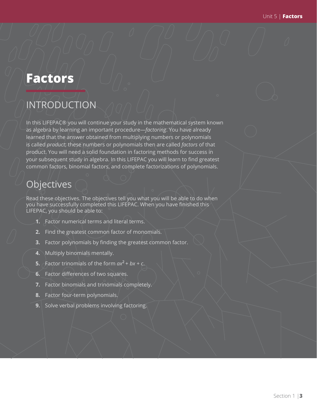## **Factors**

## INTRODUCTION

In this LIFEPAC® you will continue your study in the mathematical system known as algebra by learning an important procedure—*factoring*. You have already learned that the answer obtained from multiplying numbers or polynomials is called *product*; these numbers or polynomials then are called *factors* of that product. You will need a solid foundation in factoring methods for success in your subsequent study in algebra. In this LIFEPAC you will learn to find greatest common factors, binomial factors, and complete factorizations of polynomials.

## **Objectives**

Read these objectives. The objectives tell you what you will be able to do when you have successfully completed this LIFEPAC. When you have finished this LIFEPAC, you should be able to:

- **1.** Factor numerical terms and literal terms.
- **2.** Find the greatest common factor of monomials.
- **3.** Factor polynomials by finding the greatest common factor.
- **4.** Multiply binomials mentally.
- **5.** Factor trinomials of the form  $ax^2 + bx + c$ .
- **6.** Factor differences of two squares.
- **7.** Factor binomials and trinomials completely.
- **8.** Factor four-term polynomials.
- **9.** Solve verbal problems involving factoring.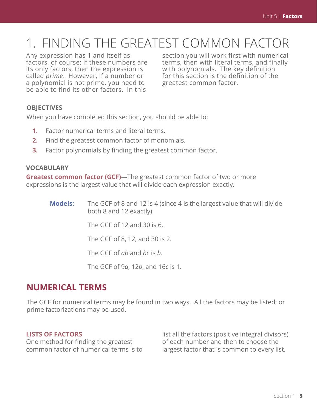# 1. FINDING THE GREATEST COMMON FACTOR

Any expression has 1 and itself as factors, of course; if these numbers are its only factors, then the expression is called *prime*. However, if a number or a polynomial is not prime, you need to be able to find its other factors. In this

section you will work first with numerical terms, then with literal terms, and finally with polynomials. The key definition for this section is the definition of the greatest common factor.

#### **OBJECTIVES**

When you have completed this section, you should be able to:

- **1.** Factor numerical terms and literal terms.
- **2.** Find the greatest common factor of monomials.
- **3.** Factor polynomials by finding the greatest common factor.

#### **VOCABULARY**

**Greatest common factor (GCF)***—*The greatest common factor of two or more expressions is the largest value that will divide each expression exactly.

> **Models:** The GCF of 8 and 12 is 4 (since 4 is the largest value that will divide both 8 and 12 exactly).

> > The GCF of 12 and 30 is 6.

The GCF of 8, 12, and 30 is 2.

The GCF of *ab* and *bc* is *b*.

The GCF of 9*a*, 12*b*, and 16*c* is 1.

#### **NUMERICAL TERMS**

The GCF for numerical terms may be found in two ways. All the factors may be listed; or prime factorizations may be used.

#### **LISTS OF FACTORS**

One method for finding the greatest common factor of numerical terms is to

list all the factors (positive integral divisors) of each number and then to choose the largest factor that is common to every list.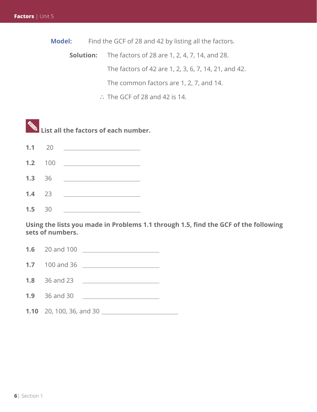**Model:** Find the GCF of 28 and 42 by listing all the factors.

**Solution:** The factors of 28 are 1, 2, 4, 7, 14, and 28. The factors of 42 are 1, 2, 3, 6, 7, 14, 21, and 42. The common factors are 1, 2, 7, and 14.

 $\therefore$  The GCF of 28 and 42 is 14.

 **List all the factors of each number. 1.1** 20

**1.2** 100

**1.3** 36

**1.4** 23

**1.5** 30

**Using the lists you made in Problems 1.1 through 1.5, find the GCF of the following sets of numbers.**

**1.6** 20 and 100

**1.7** 100 and 36

**1.8** 36 and 23

**1.9** 36 and 30

**1.10** 20, 100, 36, and 30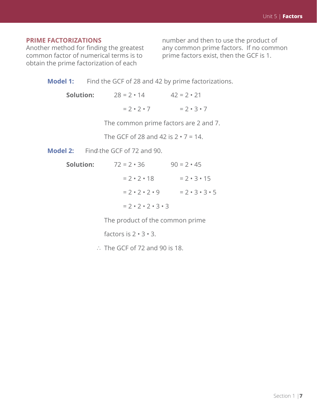#### **PRIME FACTORIZATIONS**

Another method for finding the greatest common factor of numerical terms is to obtain the prime factorization of each

number and then to use the product of any common prime factors. If no common prime factors exist, then the GCF is 1.

| <b>Model 1:</b> |  |  | Find the GCF of 28 and 42 by prime factorizations. |
|-----------------|--|--|----------------------------------------------------|

| Solution: | $28 = 2 \cdot 14$     | $42 = 2 \cdot 21$     |
|-----------|-----------------------|-----------------------|
|           | $= 2 \cdot 7 \cdot 7$ | $= 2 \cdot 3 \cdot 7$ |

The common prime factors are 2 and 7.

The GCF of 28 and 42 is  $2 \cdot 7 = 14$ .

Model 2: Find the GCF of 72 and 90.

| Solution: | $72 = 2 \cdot 36$                     | $90 = 2 \cdot 45$             |
|-----------|---------------------------------------|-------------------------------|
|           | $= 2 \cdot 7 \cdot 18$                | $= 2 \cdot 3 \cdot 15$        |
|           | $= 2 \cdot 2 \cdot 2 \cdot 9$         | $= 2 \cdot 3 \cdot 3 \cdot 5$ |
|           | $= 2 \cdot 2 \cdot 2 \cdot 3 \cdot 3$ |                               |

The product of the common prime

factors is  $2 \cdot 3 \cdot 3$ .

 $\therefore$  The GCF of 72 and 90 is 18.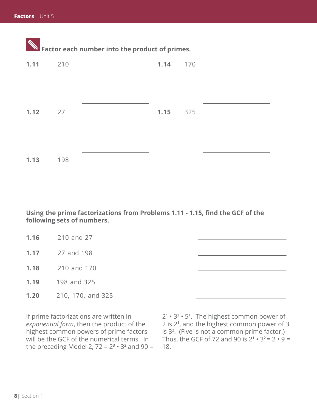| $\mathbf{W}$ Factor each number into the product of primes. |     |  |  |          |  |  |  |
|-------------------------------------------------------------|-----|--|--|----------|--|--|--|
| $1.11$ 210                                                  |     |  |  | 1.14 170 |  |  |  |
|                                                             |     |  |  |          |  |  |  |
|                                                             |     |  |  |          |  |  |  |
| 1.12<br>27                                                  |     |  |  | 1.15 325 |  |  |  |
|                                                             |     |  |  |          |  |  |  |
| 1.13                                                        | 198 |  |  |          |  |  |  |
|                                                             |     |  |  |          |  |  |  |

**Using the prime factorizations from Problems 1.11 - 1.15, find the GCF of the following sets of numbers.**

| 1.16 | 210 and 27  |
|------|-------------|
| 1.17 | 27 and 198  |
| 1.18 | 210 and 170 |

**1.19** 198 and 325

**1.20** 210, 170, and 325

If prime factorizations are written in *exponential form*, then the product of the highest common powers of prime factors will be the GCF of the numerical terms. In the preceding Model 2,  $72 = 2^3 \cdot 3^2$  and  $90 =$ 

2**1** • 3**<sup>2</sup>** • 5**<sup>1</sup>** . The highest common power of 2 is 2**<sup>1</sup>** , and the highest common power of 3 is 3**<sup>2</sup>** . (Five is not a common prime factor.) Thus, the GCF of 72 and 90 is  $2^1 \cdot 3^2 = 2 \cdot 9 = 1$ 18.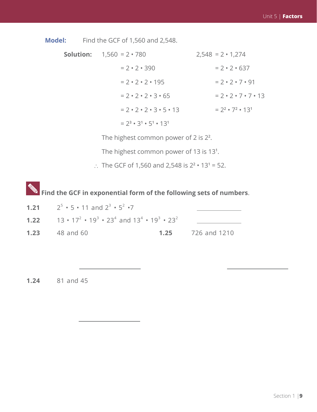**Model:** Find the GCF of 1,560 and 2,548.

| <b>Solution:</b> $1,560 = 2 \cdot 780$         | $2,548 = 2 \cdot 1,274$                |
|------------------------------------------------|----------------------------------------|
| $= 2 \cdot 2 \cdot 390$                        | $= 2 \cdot 2 \cdot 637$                |
| $= 2 \cdot 2 \cdot 2 \cdot 195$                | $= 2 \cdot 2 \cdot 7 \cdot 91$         |
| $= 2 \cdot 2 \cdot 2 \cdot 3 \cdot 65$         | $= 2 \cdot 2 \cdot 7 \cdot 7 \cdot 13$ |
| $= 2 \cdot 2 \cdot 2 \cdot 3 \cdot 5 \cdot 13$ | $= 22 \cdot 72 \cdot 131$              |
| $= 2^3 \cdot 3^1 \cdot 5^1 \cdot 13^1$         |                                        |

The highest common power of 2 is 2**<sup>2</sup>** .

The highest common power of 13 is 13**<sup>1</sup>** .

 $\therefore$  The GCF of 1,560 and 2,548 is  $2^2 \cdot 13^1 = 52$ .

**EX** Find the GCF in exponential form of the following sets of numbers.

**1.21**  $2^5 \cdot 5 \cdot 11$  and  $2^3 \cdot 5^2 \cdot 7$ **1.22** 13 •  $17^2$  •  $19^3$  •  $23^4$  and  $13^4$  •  $19^3$  •  $23^2$ <u> The Communication</u> **1.23** 48 and 60 **1.25** 726 and 1210

**1.24** 81 and 45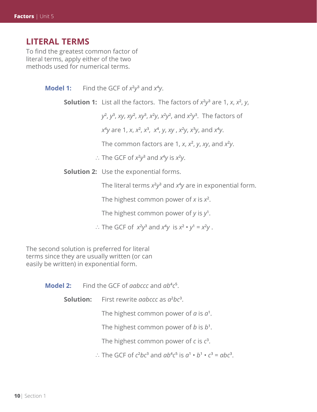#### **LITERAL TERMS**

To find the greatest common factor of literal terms, apply either of the two methods used for numerical terms.

**Model 1:** Find the GCF of  $x^2y^3$  and  $x^4y$ .

**Solution 1:** List all the factors. The factors of *x***<sup>2</sup>** *y***3** are 1, *x*, *x***<sup>2</sup>** , *y*,

 $y^2$ , *y***<sup>3</sup>** , *xy*, *xy***<sup>2</sup>** , *xy***<sup>3</sup>** , *x***<sup>2</sup>** *y*, *x***<sup>2</sup>** *y***2** , and *x***<sup>2</sup>** *y***3** . The factors of

 $x^4$ *y* are 1, *x*, *x***<sup>2</sup>** , *x***<sup>3</sup>** , *x***<sup>4</sup>** , *y*, *xy* , *x***<sup>2</sup>** *y*, *x***<sup>3</sup>** *y*, and *x***<sup>4</sup>** *y*.

The common factors are 1, *x*, *x***<sup>2</sup>** , *y*, *xy*, and *x***<sup>2</sup>** *y*.

 $\therefore$  The GCF of  $x^2y^3$  and  $x^4y$  is  $x^2y$ .

**Solution 2:** Use the exponential forms.

The literal terms  $x^2y^3$  and  $x^4y$  are in exponential form.

The highest common power of *x* is *x***<sup>2</sup>** .

The highest common power of *y* is *y***<sup>1</sup>** .

 $\therefore$  The GCF of  $x^2y^3$  and  $x^4y$  is  $x^2 \cdot y^1 = x^2y$ .

The second solution is preferred for literal terms since they are usually written (or can easily be written) in exponential form.

Model 2: Find the GCF of *aabccc* and  $ab^4c^5$ .

**Solution:** First rewrite *aabccc* as  $a^2bc^3$ .

The highest common power of  $a$  is  $a^1$ .

The highest common power of *b* is *b***<sup>1</sup>** .

The highest common power of *c* is *c***<sup>3</sup>** .

 $\therefore$  The GCF of  $c^2bc^3$  and  $ab^4c^5$  is  $a^1 \cdot b^1 \cdot c^3 = abc^3$ .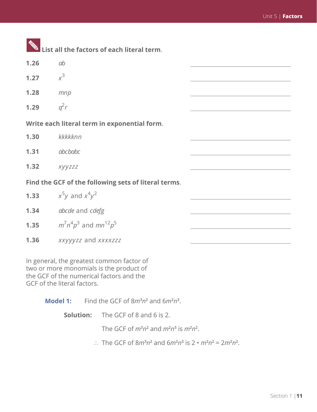|      | List all the factors of each literal term.           |  |
|------|------------------------------------------------------|--|
| 1.26 | ab                                                   |  |
| 1.27 | $x^3$                                                |  |
| 1.28 | mnp                                                  |  |
| 1.29 | $q^2r$                                               |  |
|      | Write each literal term in exponential form.         |  |
| 1.30 | kkkkknn                                              |  |
| 1.31 | abcbabc                                              |  |
| 1.32 | xyyzzz                                               |  |
|      | Find the GCF of the following sets of literal terms. |  |
| 1.33 | $x^5y$ and $x^4y^2$                                  |  |
| 1.34 | abcde and cdefg                                      |  |
| 1.35 | $m^7n^4p^3$ and $mn^{12}p^5$                         |  |
| 1.36 | xxyyyzz and xxxxzzz                                  |  |
|      |                                                      |  |

In general, the greatest common factor of two or more monomials is the product of the GCF of the numerical factors and the GCF of the literal factors.

**Model 1:** Find the GCF of  $8m^3n^2$  and  $6m^2n^3$ .

**Solution:** The GCF of 8 and 6 is 2.

The GCF of  $m^3n^2$  and  $m^2n^3$  is  $m^2n^2$ .

 $\therefore$  The GCF of  $8m^3n^2$  and  $6m^2n^3$  is  $2 \cdot m^2n^2 = 2m^2n^2$ .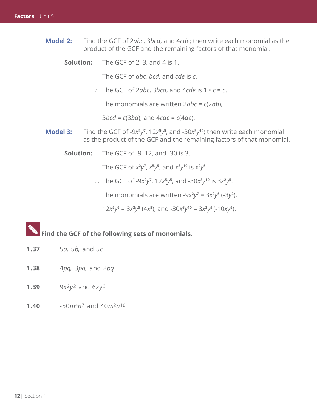- **Model 2:** Find the GCF of 2*abc*, 3*bcd*, and 4*cde*; then write each monomial as the product of the GCF and the remaining factors of that monomial.
	- **Solution:** The GCF of 2, 3, and 4 is 1.

The GCF of *abc, bcd,* and *cde* is *c*.

∴ The GCF of 2*abc*, 3*bcd*, and 4*cde* is 1 • *c* = *c*.

The monomials are written 2*abc* = *c*(2*ab*),

3*bcd* = *c*(3*bd*), and 4*cde* = *c*(4*de*).

- **Model 3:** Find the GCF of -9x<sup>2</sup>y<sup>7</sup>, 12x<sup>5</sup>y<sup>5</sup>, and -30x<sup>3</sup>y<sup>10</sup>; then write each monomial as the product of the GCF and the remaining factors of that monomial.
	- **Solution:** The GCF of -9, 12, and -30 is 3.

The GCF of  $x^2y^7$ ,  $x^5y^5$ , and  $x^3y^{10}$  is  $x^2y^5$ .

∴ The GCF of -9*x*<sup>2</sup> $y$ <sup>7</sup>, 12*x*<sup>5</sup> $y$ <sup>5</sup>, and -30*x*<sup>3</sup> $y$ <sup>10</sup> is 3*x*<sup>2</sup> $y$ <sup>5</sup>.

The monomials are written -9x<sup>2</sup>y<sup>7</sup> = 3x<sup>2</sup>y<sup>5</sup> (-3y<sup>2</sup>),

 $12x^5y^5 = 3x^2y^5(4x^3)$ , and  $-30x^3y^{10} = 3x^2y^5(-10xy^5)$ .

# **EXALLET FIND THE GOT SET OF THE FIND SET OF MOTOR FIND SETS OF MONOMIALS.**

- **1.37** 5*a*, 5*b*, and 5*c*
- **1.38** 4*pq*, 3*pq*, and 2*pq*
- **1.39** 9*x*<sup>2</sup> $y$ <sup>2</sup> and 6*x* $y$ <sup>3</sup>
- **1.40** -50*m*4*n*7 and 40*m*2*n*10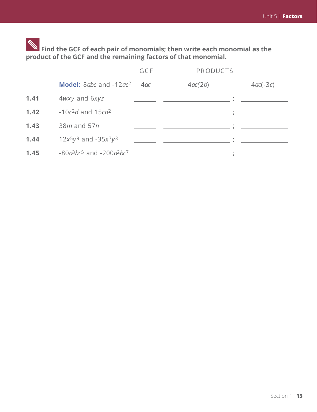**Find the GCF of each pair of monomials; then write each monomial as the product of the GCF and the remaining factors of that monomial.**

|      |                                    | GCF | <b>PRODUCTS</b> |            |
|------|------------------------------------|-----|-----------------|------------|
|      | Model: 8abc and -12ac <sup>2</sup> | 4ac | 4ac(2b)         | $4ac(-3c)$ |
| 1.41 | 4wxy and 6xyz                      |     |                 |            |
| 1.42 | $-10c^2d$ and $15cd^2$             |     |                 |            |
| 1.43 | $38m$ and $57n$                    |     |                 |            |
| 1.44 | $12x^{5}y^{9}$ and $-35x^{7}y^{3}$ |     |                 |            |
| 1.45 | $-80a^3bc^5$ and $-200a^2bc^7$     |     | $\bullet$       |            |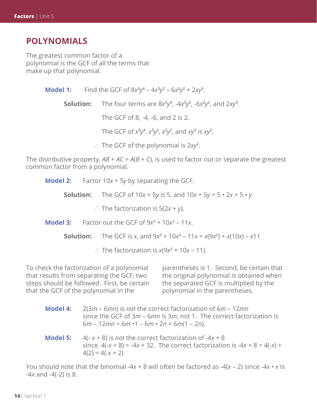#### **POLYNOMIALS**

The greatest common factor of a polynomial is the GCF of all the terms that make up that polynomial.

| <b>Model 1:</b> Find the GCF of $8x^3y^4 - 4x^3y^2 - 6x^2y^2 + 2xy^3$ .                 |
|-----------------------------------------------------------------------------------------|
| <b>Solution:</b> The four terms are $8x^3y^4$ , $-4x^3y^2$ , $-6x^2y^2$ , and $2xy^3$ . |
| The GCF of 8, -4, -6, and 2 is 2.                                                       |
| The GCF of $x^3y^4$ , $x^3y^2$ , $x^2y^2$ , and $xy^3$ is $xy^2$ .                      |
| $\therefore$ The GCF of the polynomial is 2xy <sup>2</sup> .                            |

The distributive property,  $AB + AC = A(B + C)$ , is used to factor out or separate the greatest common factor from a polynomial.

**Model 2:** Factor 10*x* + 5*y* by separating the GCF.

**Solution:** The GCF of  $10x + 5y$  is 5, and  $10x + 5y = 5 \cdot 2x + 5 \cdot y$ 

∴ The factorization is 5(2*x* + *y*).

**Model 3:** Factor out the GCF of  $9x^3 + 10x^2 - 11x$ .

**Solution:** The GCF is *x*, and  $9x^3 + 10x^2 - 11x = x(9x^2) + x(10x) - x11$ 

 $\therefore$  The factorization is  $x(9x^2 + 10x - 11)$ .

To check the factorization of a polynomial that results from separating the GCF, two steps should be followed. First, be certain that the GCF of the polynomial in the

parentheses is 1. Second, be certain that the original polynomial is obtained when the separated GCF is multiplied by the polynomial in the parentheses.

**Model 4:** 2(3*m* – 6*mn*) is *not* the correct factorization of 6*m* – 12*mn* since the GCF of 3*m* – 6*mn* is 3*m*, not 1. The correct factorization is 6*m* – 12*mn* = 6*m* •1 – 6*m* • 2*n* = 6*m*(1 – 2*n*). **Model 5:**  $4(-x + 8)$  is *not* the correct factorization of  $-4x + 8$ 

since  $4(-x + 8) = -4x + 32$ . The correct factorization is  $-4x + 8 = 4(-x) +$  $4(2) = 4(-x + 2)$ 

You should note that the binomial -4*x* + 8 will often be factored as -4(*x* – 2) since -4*x* • *x* is -4*x* and -4(-2) is 8.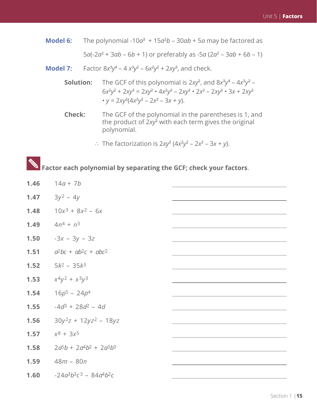- **Model 6:** The polynomial -10 $a^3$  + 15 $a^2b$  30 $ab$  + 5 $a$  may be factored as 5*a*(-2*a***<sup>2</sup>** + 3*ab* – 6*b* + 1) or preferably as -5*a* (2*a***<sup>2</sup>** – 3*ab* + 6*b* – 1)
	- **Model 7:** Factor  $8x^3y^4 4x^3y^2 6x^2y^2 + 2xy^3$ , and check.
- **Solution:** The GCF of this polynomial is  $2xy^2$ , and  $8x^3y^4 4x^3y^2 -$  6*x***<sup>2</sup>** *y***2** + 2*xy***<sup>3</sup>** = 2*xy***<sup>2</sup>** • 4*x***<sup>2</sup>** *y***2** – 2*xy***<sup>2</sup>** • 2*x***<sup>2</sup>** – 2*xy***<sup>2</sup>** • 3*x* + 2*xy***<sup>2</sup>** •  $y = 2xy^2(4x^2y^2 - 2x^2 - 3x + y)$ .
- **Check:** The GCF of the polynomial in the parentheses is 1, and the product of 2*xy***<sup>2</sup>** with each term gives the original polynomial.
- ∴ The factorization is  $2xy^2(4x^2y^2 2x^2 3x + y)$ .

# **Example 2 Factor each polynomial by separating the GCF; check your factors.**

| 1.46 | $14a + 7b$                  |  |
|------|-----------------------------|--|
| 1.47 | $3y^2 - 4y$                 |  |
| 1.48 | $10x^3 + 8x^2 - 6x$         |  |
| 1.49 | $4n^4 + n^3$                |  |
| 1.50 | $-3x - 3y - 3z$             |  |
| 1.51 | $a^2bc + ab^2c + abc^2$     |  |
| 1.52 | $5k^2 - 35k^3$              |  |
| 1.53 | $x^4y^2 + x^3y^3$           |  |
| 1.54 | $16p^5 - 24p^4$             |  |
| 1.55 | $-4d^3 + 28d^2 - 4d$        |  |
| 1.56 | $30y^2z + 12yz^2 - 18yz$    |  |
| 1.57 | $x^8 + 3x^5$                |  |
| 1.58 | $2a^5b + 2a^4b^2 + 2a^3b^3$ |  |
| 1.59 | $48m - 80n$                 |  |
| 1.60 | $-24a^3b^3c^3 - 84a^4b^2c$  |  |
|      |                             |  |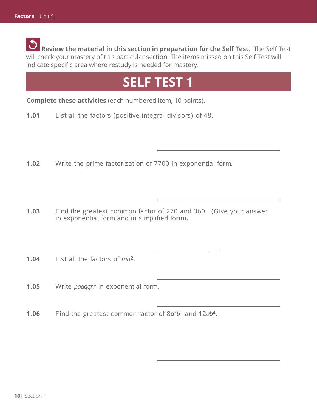**Review the material in this section in preparation for the Self Test**. The Self Test will check your mastery of this particular section. The items missed on this Self Test will indicate specific area where restudy is needed for mastery.

# **SELF TEST 1**

**Complete these activities** (each numbered item, 10 points).

- **1.01** List all the factors (positive integral divisors) of 48.
- **1.02** Write the prime factorization of 7700 in exponential form.
- **1.03** Find the greatest common factor of 270 and 360. (Give your answer in exponential form and in simplified form).

=

- **1.04** List all the factors of *mn*2.
- **1.05** Write *pqqqqrr* in exponential form.

**1.06** F ind the greatest common factor of 8*a*3*b*2 and 12*ab*4.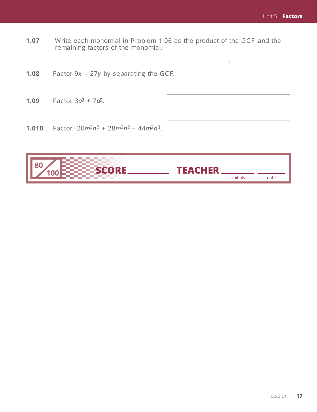;

- **1.07** Write each monomial in Problem 1.06 as the product of the GCF and the remaining factors of the monomial.
- **1.08** Factor 9*x* 27*y* by separating the GCF.
- **1.09** Factor  $3a^3 + 7a^5$ .
- 1.010 Factor  $-20m^3n^2 + 28m^2n^2 44m^2n^3$ .

| I.                                         |          |      |
|--------------------------------------------|----------|------|
| <b>The Contract</b><br><b>The Contract</b> | initials | date |